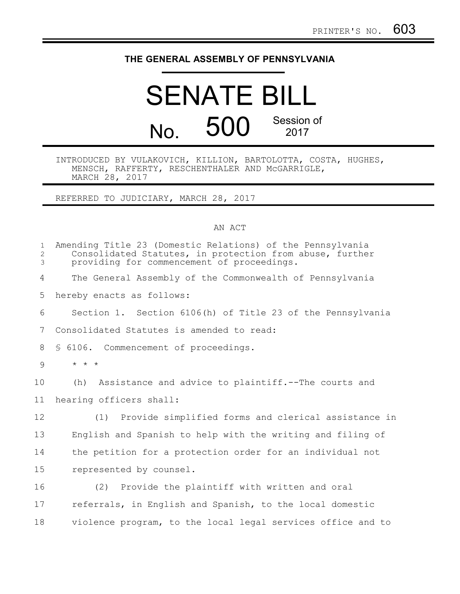## **THE GENERAL ASSEMBLY OF PENNSYLVANIA**

## SENATE BILL No. 500 Session of 2017

## INTRODUCED BY VULAKOVICH, KILLION, BARTOLOTTA, COSTA, HUGHES, MENSCH, RAFFERTY, RESCHENTHALER AND McGARRIGLE, MARCH 28, 2017

REFERRED TO JUDICIARY, MARCH 28, 2017

## AN ACT

| Amending Title 23 (Domestic Relations) of the Pennsylvania<br>Consolidated Statutes, in protection from abuse, further<br>providing for commencement of proceedings. |
|----------------------------------------------------------------------------------------------------------------------------------------------------------------------|
| The General Assembly of the Commonwealth of Pennsylvania                                                                                                             |
| hereby enacts as follows:                                                                                                                                            |
| Section 1. Section 6106(h) of Title 23 of the Pennsylvania                                                                                                           |
| Consolidated Statutes is amended to read:                                                                                                                            |
| § 6106. Commencement of proceedings.                                                                                                                                 |
| $\star$ $\star$ $\star$                                                                                                                                              |
| Assistance and advice to plaintiff. -- The courts and<br>(h)                                                                                                         |
| hearing officers shall:                                                                                                                                              |
| (1) Provide simplified forms and clerical assistance in                                                                                                              |
| English and Spanish to help with the writing and filing of                                                                                                           |
| the petition for a protection order for an individual not                                                                                                            |
| represented by counsel.                                                                                                                                              |
| (2) Provide the plaintiff with written and oral                                                                                                                      |
| referrals, in English and Spanish, to the local domestic                                                                                                             |
| violence program, to the local legal services office and to                                                                                                          |
|                                                                                                                                                                      |